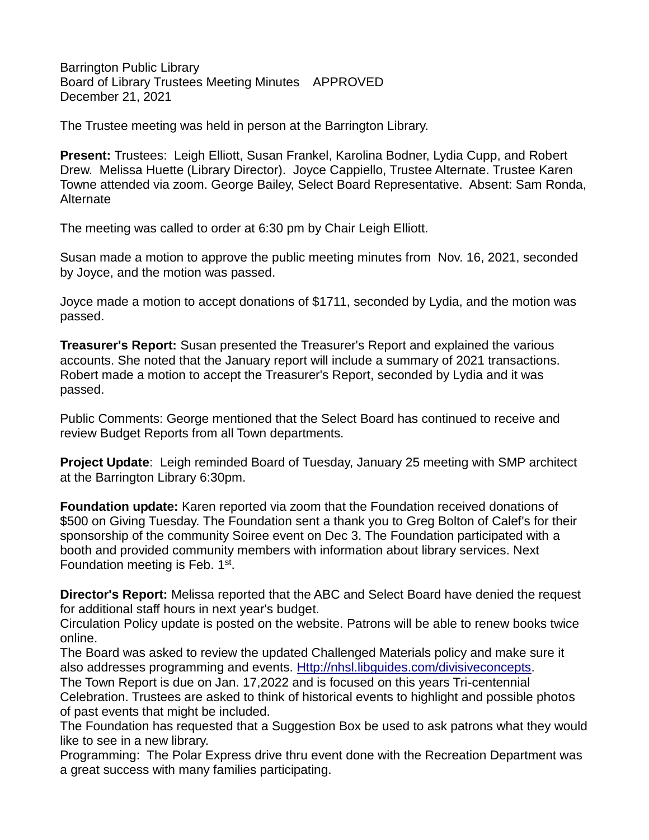Barrington Public Library Board of Library Trustees Meeting Minutes APPROVED December 21, 2021

The Trustee meeting was held in person at the Barrington Library.

**Present:** Trustees: Leigh Elliott, Susan Frankel, Karolina Bodner, Lydia Cupp, and Robert Drew. Melissa Huette (Library Director). Joyce Cappiello, Trustee Alternate. Trustee Karen Towne attended via zoom. George Bailey, Select Board Representative. Absent: Sam Ronda, Alternate

The meeting was called to order at 6:30 pm by Chair Leigh Elliott.

Susan made a motion to approve the public meeting minutes from Nov. 16, 2021, seconded by Joyce, and the motion was passed.

Joyce made a motion to accept donations of \$1711, seconded by Lydia, and the motion was passed.

**Treasurer's Report:** Susan presented the Treasurer's Report and explained the various accounts. She noted that the January report will include a summary of 2021 transactions. Robert made a motion to accept the Treasurer's Report, seconded by Lydia and it was passed.

Public Comments: George mentioned that the Select Board has continued to receive and review Budget Reports from all Town departments.

**Project Update**: Leigh reminded Board of Tuesday, January 25 meeting with SMP architect at the Barrington Library 6:30pm.

**Foundation update:** Karen reported via zoom that the Foundation received donations of \$500 on Giving Tuesday. The Foundation sent a thank you to Greg Bolton of Calef's for their sponsorship of the community Soiree event on Dec 3. The Foundation participated with a booth and provided community members with information about library services. Next Foundation meeting is Feb. 1<sup>st</sup>.

**Director's Report:** Melissa reported that the ABC and Select Board have denied the request for additional staff hours in next year's budget.

Circulation Policy update is posted on the website. Patrons will be able to renew books twice online.

The Board was asked to review the updated Challenged Materials policy and make sure it also addresses programming and events. [Http://nhsl.libguides.com/divisiveconcepts.](http://nhsl.libguides.com/divisiveconcepts)

The Town Report is due on Jan. 17,2022 and is focused on this years Tri-centennial Celebration. Trustees are asked to think of historical events to highlight and possible photos of past events that might be included.

The Foundation has requested that a Suggestion Box be used to ask patrons what they would like to see in a new library.

Programming: The Polar Express drive thru event done with the Recreation Department was a great success with many families participating.